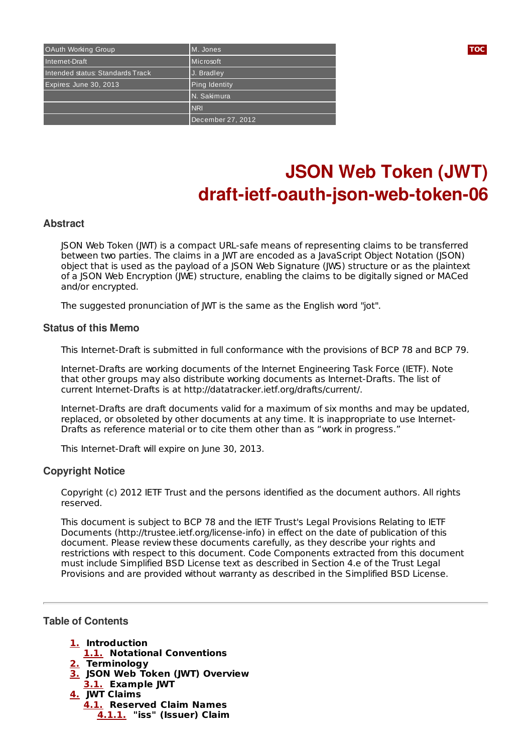| OAuth Working Group              | M. Jones             | <b>TOC</b> |
|----------------------------------|----------------------|------------|
| Internet-Draft                   | Microsoft            |            |
| Intended status: Standards Track | J. Bradley           |            |
| Expires: June 30, 2013           | <b>Ping Identity</b> |            |
|                                  | N. Sakimura          |            |
|                                  | <b>NRI</b>           |            |
|                                  | December 27, 2012    |            |

# **JSON Web Token (JWT) draft-ietf-oauth-json-web-token-06**

### **Abstract**

JSON Web Token (JWT) is a compact URL-safe means of representing claims to be transferred between two parties. The claims in a JWT are encoded as a JavaScript Object Notation (JSON) object that is used as the payload of a JSON Web Signature (JWS) structure or as the plaintext of a JSON Web Encryption (JWE) structure, enabling the claims to be digitally signed or MACed and/or encrypted.

The suggested pronunciation of JWT is the same as the English word "jot".

### **Status of this Memo**

This Internet-Draft is submitted in full conformance with the provisions of BCP 78 and BCP 79.

Internet-Drafts are working documents of the Internet Engineering Task Force (IETF). Note that other groups may also distribute working documents as Internet-Drafts. The list of current Internet-Drafts is at http://datatracker.ietf.org/drafts/current/.

Internet-Drafts are draft documents valid for a maximum of six months and may be updated, replaced, or obsoleted by other documents at any time. It is inappropriate to use Internet-Drafts as reference material or to cite them other than as "work in progress."

This Internet-Draft will expire on June 30, 2013.

### **Copyright Notice**

Copyright (c) 2012 IETF Trust and the persons identified as the document authors. All rights reserved.

This document is subject to BCP 78 and the IETF Trust's Legal Provisions Relating to IETF Documents (http://trustee.ietf.org/license-info) in effect on the date of publication of this document. Please review these documents carefully, as they describe your rights and restrictions with respect to this document. Code Components extracted from this document must include Simplified BSD License text as described in Section 4.e of the Trust Legal Provisions and are provided without warranty as described in the Simplified BSD License.

### <span id="page-0-0"></span>**Table of Contents**

**[1.](#page-1-0) Introduction**

- **[1.1.](#page-1-1) Notational Conventions**
- **[2.](#page-1-2) Terminology**
- **[3.](#page-2-0) JSON Web Token (JWT) Overview**
- **[3.1.](#page-3-0) Example JWT**
- **[4.](#page-4-0) JWT Claims [4.1.](#page-4-1) Reserved Claim Names [4.1.1.](#page-4-2) "iss" (Issuer) Claim**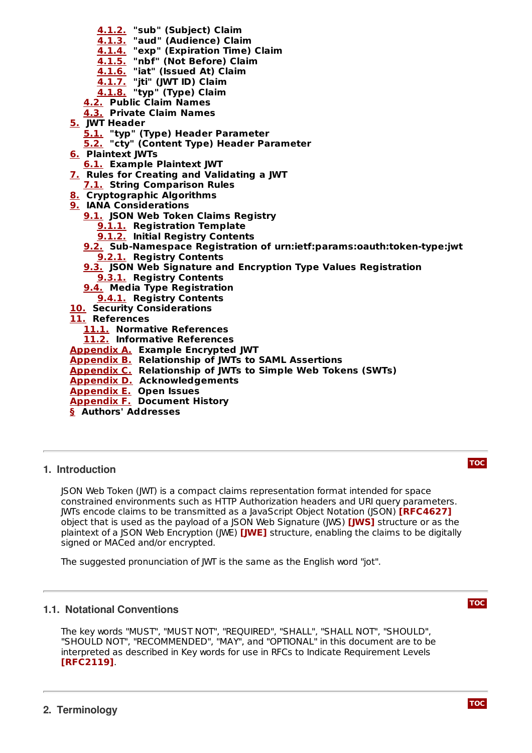- **[4.1.2.](#page-4-3) "sub" (Subject) Claim**
- **[4.1.3.](#page-4-4) "aud" (Audience) Claim**
- **[4.1.4.](#page-4-5) "exp" (Expiration Time) Claim**
- **[4.1.5.](#page-5-0) "nbf" (Not Before) Claim**
- **[4.1.6.](#page-5-1) "iat" (Issued At) Claim**
- **[4.1.7.](#page-5-2) "jti" (JWT ID) Claim**
- **[4.1.8.](#page-5-3) "typ" (Type) Claim [4.2.](#page-5-4) Public Claim Names**
- **[4.3.](#page-5-5) Private Claim Names**
- **[5.](#page-5-6) JWT Header**
	- - **[5.1.](#page-6-0) "typ" (Type) Header Parameter**
		- **[5.2.](#page-6-1) "cty" (Content Type) Header Parameter**
- **[6.](#page-6-2) Plaintext JWTs**
	- **[6.1.](#page-6-3) Example Plaintext JWT**
- **[7.](#page-7-0) Rules for Creating and Validating a JWT**
- **[7.1.](#page-8-0) String Comparison Rules**
- **[8.](#page-8-1) Cryptographic Algorithms**
- **[9.](#page-8-2) IANA Considerations**
	- **[9.1.](#page-8-3) JSON Web Token Claims Registry**
		- **[9.1.1.](#page-9-0) Registration Template**
		- **[9.1.2.](#page-9-1) Initial Registry Contents**
	- **[9.2.](#page-10-0) Sub-Namespace Registration of urn:ietf:params:oauth:token-type:jwt [9.2.1.](#page-10-1) Registry Contents**
	- **[9.3.](#page-10-2) JSON Web Signature and Encryption Type Values Registration**
		- **[9.3.1.](#page-10-3) Registry Contents**
	- **[9.4.](#page-10-4) Media Type Registration**
	- **[9.4.1.](#page-10-5) Registry Contents**
- **[10.](#page-11-0) Security Considerations**
- **[11.](#page-11-1) References**
	- **[11.1.](#page-11-1) Normative References**
	- **[11.2.](#page-11-2) Informative References**
- **[Appendix](#page-12-0) A. Example Encrypted JWT**
- **[Appendix](#page-12-1) B. Relationship of JWTs to SAML Assertions**
- **[Appendix](#page-13-0) C. Relationship of JWTs to Simple Web Tokens (SWTs)**
- **[Appendix](#page-13-1) D. Acknowledgements**
- **[Appendix](#page-13-2) E. Open Issues**
- **[Appendix](#page-13-3) F. Document History**
- <span id="page-1-0"></span>**[§](#page-14-0) Authors' Addresses**

### **1. Introduction**

JSON Web Token (JWT) is a compact claims representation format intended for space constrained environments such as HTTP Authorization headers and URI query parameters. JWTs encode claims to be transmitted as a JavaScript Object Notation (JSON) **[\[RFC4627\]](#page-11-3)** object that is used as the payload of a JSON Web Signature (JWS) **[\[JWS\]](#page-11-4)** structure or as the plaintext of a JSON Web Encryption (JWE) **[\[JWE\]](#page-11-5)** structure, enabling the claims to be digitally signed or MACed and/or encrypted.

<span id="page-1-1"></span>The suggested pronunciation of JWT is the same as the English word "jot".

### **1.1. Notational Conventions**

<span id="page-1-2"></span>The key words "MUST", "MUST NOT", "REQUIRED", "SHALL", "SHALL NOT", "SHOULD", "SHOULD NOT", "RECOMMENDED", "MAY", and "OPTIONAL" in this document are to be interpreted as described in Key words for use in RFCs to Indicate Requirement Levels . **[\[RFC2119\]](#page-11-6)**

## **[TOC](#page-0-0)**

**[TOC](#page-0-0)**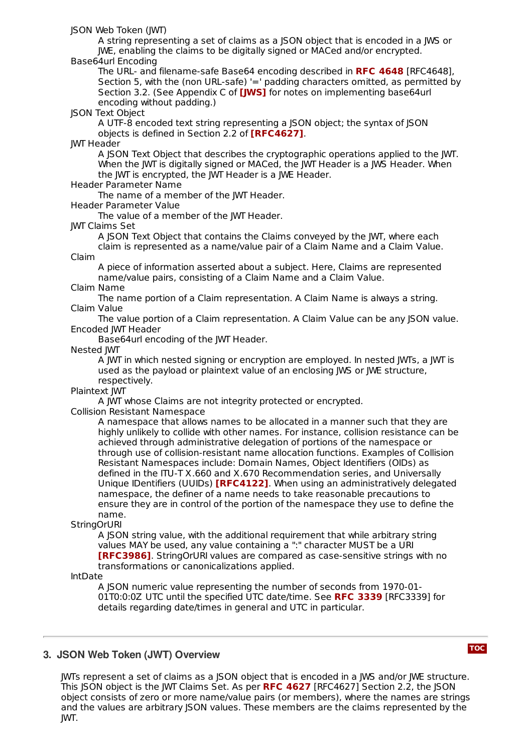### JSON Web Token (JWT)

A string representing a set of claims as a JSON object that is encoded in a JWS or JWE, enabling the claims to be digitally signed or MACed and/or encrypted.

### Base64url Encoding

The URL- and filename-safe Base64 encoding described in [RFC4648], **RFC [4648](#page-11-7)** Section 5, with the (non URL-safe) '=' padding characters omitted, as permitted by Section 3.2. (See Appendix C of **[\[JWS\]](#page-11-4)** for notes on implementing base64url encoding without padding.)

### JSON Text Object

A UTF-8 encoded text string representing a JSON object; the syntax of JSON objects is defined in Section 2.2 of **[\[RFC4627\]](#page-11-3)**.

### JWT Header

A JSON Text Object that describes the cryptographic operations applied to the JWT. When the JWT is digitally signed or MACed, the JWT Header is a JWS Header. When the JWT is encrypted, the JWT Header is a JWE Header.

### Header Parameter Name

The name of a member of the JWT Header.

### Header Parameter Value

The value of a member of the JWT Header.

### JWT Claims Set

A JSON Text Object that contains the Claims conveyed by the JWT, where each claim is represented as a name/value pair of a Claim Name and a Claim Value.

### Claim

A piece of information asserted about a subject. Here, Claims are represented name/value pairs, consisting of a Claim Name and a Claim Value.

### Claim Name

The name portion of a Claim representation. A Claim Name is always a string. Claim Value

The value portion of a Claim representation. A Claim Value can be any JSON value. Encoded JWT Header

Base64url encoding of the JWT Header.

### Nested JWT

A JWT in which nested signing or encryption are employed. In nested JWTs, a JWT is used as the payload or plaintext value of an enclosing JWS or JWE structure, respectively.

### Plaintext JWT

A JWT whose Claims are not integrity protected or encrypted.

### Collision Resistant Namespace

A namespace that allows names to be allocated in a manner such that they are highly unlikely to collide with other names. For instance, collision resistance can be achieved through administrative delegation of portions of the namespace or through use of collision-resistant name allocation functions. Examples of Collision Resistant Namespaces include: Domain Names, Object Identifiers (OIDs) as defined in the ITU-T X.660 and X.670 Recommendation series, and Universally Unique IDentifiers (UUIDs) **[\[RFC4122\]](#page-12-2)**. When using an administratively delegated namespace, the definer of a name needs to take reasonable precautions to ensure they are in control of the portion of the namespace they use to define the name.

### **StringOrURI**

A JSON string value, with the additional requirement that while arbitrary string values MAY be used, any value containing a ":" character MUST be a URI **[\[RFC3986\]](#page-11-8).** StringOrURI values are compared as case-sensitive strings with no transformations or canonicalizations applied.

### IntDate

A JSON numeric value representing the number of seconds from 1970-01- 01T0:0:0Z UTC until the specified UTC date/time. See **RFC [3339](#page-11-9)** [RFC3339] for details regarding date/times in general and UTC in particular.

### <span id="page-2-0"></span>**3. JSON Web Token (JWT) Overview**

JWTs represent a set of claims as a JSON object that is encoded in a JWS and/or JWE structure. This JSON object is the JWT Claims Set. As per **RFC [4627](#page-11-3)** [RFC4627] Section 2.2, the JSON object consists of zero or more name/value pairs (or members), where the names are strings and the values are arbitrary JSON values. These members are the claims represented by the JWT.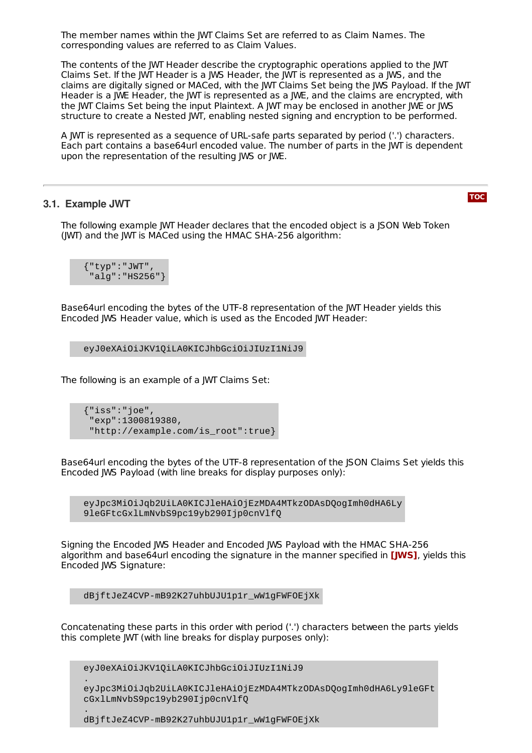The member names within the JWT Claims Set are referred to as Claim Names. The corresponding values are referred to as Claim Values.

The contents of the JWT Header describe the cryptographic operations applied to the JWT Claims Set. If the JWT Header is a JWS Header, the JWT is represented as a JWS, and the claims are digitally signed or MACed, with the JWT Claims Set being the JWS Payload. If the JWT Header is a JWE Header, the JWT is represented as a JWE, and the claims are encrypted, with the JWT Claims Set being the input Plaintext. A JWT may be enclosed in another JWE or JWS structure to create a Nested JWT, enabling nested signing and encryption to be performed.

A JWT is represented as a sequence of URL-safe parts separated by period ('.') characters. Each part contains a base64url encoded value. The number of parts in the JWT is dependent upon the representation of the resulting JWS or JWE.

### <span id="page-3-0"></span>**3.1. Example JWT**

**[TOC](#page-0-0)**

The following example JWT Header declares that the encoded object is a JSON Web Token (JWT) and the JWT is MACed using the HMAC SHA-256 algorithm:

{"typ":"JWT", "alg":"HS256"}

Base64url encoding the bytes of the UTF-8 representation of the JWT Header yields this Encoded JWS Header value, which is used as the Encoded JWT Header:

eyJ0eXAiOiJKV1QiLA0KICJhbGciOiJIUzI1NiJ9

The following is an example of a JWT Claims Set:

{"iss":"joe", "exp":1300819380, "http://example.com/is\_root":true}

Base64url encoding the bytes of the UTF-8 representation of the JSON Claims Set yields this Encoded JWS Payload (with line breaks for display purposes only):

eyJpc3MiOiJqb2UiLA0KICJleHAiOjEzMDA4MTkzODAsDQogImh0dHA6Ly 9leGFtcGxlLmNvbS9pc19yb290Ijp0cnVlfQ

Signing the Encoded JWS Header and Encoded JWS Payload with the HMAC SHA-256 algorithm and base64url encoding the signature in the manner specified in **[\[JWS\]](#page-11-4)**, yields this Encoded JWS Signature:

dBjftJeZ4CVP-mB92K27uhbUJU1p1r\_wW1gFWFOEjXk

Concatenating these parts in this order with period ('.') characters between the parts yields this complete JWT (with line breaks for display purposes only):

eyJ0eXAiOiJKV1QiLA0KICJhbGciOiJIUzI1NiJ9

. eyJpc3MiOiJqb2UiLA0KICJleHAiOjEzMDA4MTkzODAsDQogImh0dHA6Ly9leGFt cGxlLmNvbS9pc19yb290Ijp0cnVlfQ

. dBjftJeZ4CVP-mB92K27uhbUJU1p1r\_wW1gFWFOEjXk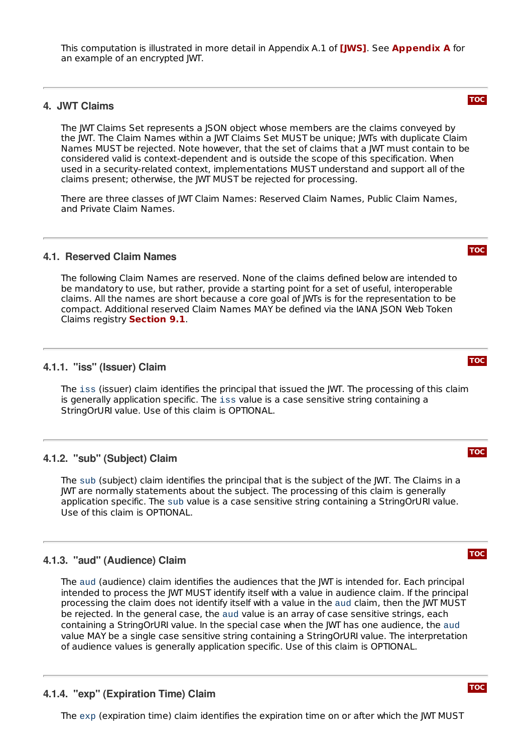### <span id="page-4-0"></span>**4. JWT Claims**

The JWT Claims Set represents a JSON object whose members are the claims conveyed by the JWT. The Claim Names within a JWT Claims Set MUST be unique; JWTs with duplicate Claim Names MUST be rejected. Note however, that the set of claims that a JWT must contain to be considered valid is context-dependent and is outside the scope of this specification. When used in a security-related context, implementations MUST understand and support all of the claims present; otherwise, the JWT MUST be rejected for processing.

There are three classes of JWT Claim Names: Reserved Claim Names, Public Claim Names, and Private Claim Names.

### <span id="page-4-1"></span>**4.1. Reserved Claim Names**

The following Claim Names are reserved. None of the claims defined below are intended to be mandatory to use, but rather, provide a starting point for a set of useful, interoperable claims. All the names are short because a core goal of JWTs is for the representation to be compact. Additional reserved Claim Names MAY be defined via the IANA JSON Web Token **Claims registry [Section](#page-8-3) 9.1.** 

### <span id="page-4-2"></span>**4.1.1. "iss" (Issuer) Claim**

The iss (issuer) claim identifies the principal that issued the JWT. The processing of this claim is generally application specific. The iss value is a case sensitive string containing a StringOrURI value. Use of this claim is OPTIONAL.

### <span id="page-4-3"></span>**4.1.2. "sub" (Subject) Claim**

The sub (subject) claim identifies the principal that is the subject of the JWT. The Claims in a JWT are normally statements about the subject. The processing of this claim is generally application specific. The sub value is a case sensitive string containing a StringOrURI value. Use of this claim is OPTIONAL.

### <span id="page-4-4"></span>**4.1.3. "aud" (Audience) Claim**

The aud (audience) claim identifies the audiences that the JWT is intended for. Each principal intended to process the JWT MUST identify itself with a value in audience claim. If the principal processing the claim does not identify itself with a value in the aud claim, then the JWT MUST be rejected. In the general case, the aud value is an array of case sensitive strings, each containing a StringOrURI value. In the special case when the JWT has one audience, the aud value MAY be a single case sensitive string containing a StringOrURI value. The interpretation of audience values is generally application specific. Use of this claim is OPTIONAL.

### <span id="page-4-5"></span>**4.1.4. "exp" (Expiration Time) Claim**

The exp (expiration time) claim identifies the expiration time on or after which the JWT MUST



**[TOC](#page-0-0)**

**[TOC](#page-0-0)**

## **[TOC](#page-0-0)**

**[TOC](#page-0-0)**

**[TOC](#page-0-0)**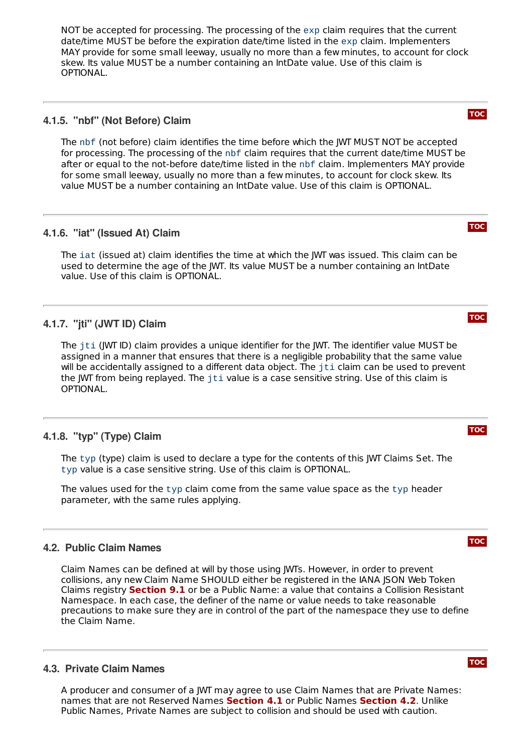NOT be accepted for processing. The processing of the exp claim requires that the current date/time MUST be before the expiration date/time listed in the exp claim. Implementers MAY provide for some small leeway, usually no more than a few minutes, to account for clock skew. Its value MUST be a number containing an IntDate value. Use of this claim is OPTIONAL.

### <span id="page-5-0"></span>**4.1.5. "nbf" (Not Before) Claim**

The nbf (not before) claim identifies the time before which the JWT MUST NOT be accepted for processing. The processing of the nbf claim requires that the current date/time MUST be after or equal to the not-before date/time listed in the nbf claim. Implementers MAY provide for some small leeway, usually no more than a few minutes, to account for clock skew. Its value MUST be a number containing an IntDate value. Use of this claim is OPTIONAL.

### <span id="page-5-1"></span>**4.1.6. "iat" (Issued At) Claim**

The iat (issued at) claim identifies the time at which the JWT was issued. This claim can be used to determine the age of the JWT. Its value MUST be a number containing an IntDate value. Use of this claim is OPTIONAL.

### <span id="page-5-2"></span>**4.1.7. "jti" (JWT ID) Claim**

The jti (JWT ID) claim provides a unique identifier for the JWT. The identifier value MUST be assigned in a manner that ensures that there is a negligible probability that the same value will be accidentally assigned to a different data object. The jti claim can be used to prevent the IWT from being replayed. The iti value is a case sensitive string. Use of this claim is OPTIONAL.

### <span id="page-5-3"></span>**4.1.8. "typ" (Type) Claim**

The typ (type) claim is used to declare a type for the contents of this JWT Claims Set. The typ value is a case sensitive string. Use of this claim is OPTIONAL.

The values used for the typ claim come from the same value space as the typ header parameter, with the same rules applying.

### <span id="page-5-4"></span>**4.2. Public Claim Names**

Claim Names can be defined at will by those using JWTs. However, in order to prevent collisions, any new Claim Name SHOULD either be registered in the IANA JSON Web Token Claims registry **[Section](#page-8-3) 9.1** or be a Public Name: a value that contains a Collision Resistant Namespace. In each case, the definer of the name or value needs to take reasonable precautions to make sure they are in control of the part of the namespace they use to define the Claim Name.

### <span id="page-5-5"></span>**4.3. Private Claim Names**

<span id="page-5-6"></span>A producer and consumer of a JWT may agree to use Claim Names that are Private Names: names that are not Reserved Names **[Section](#page-5-4) 4.1** or Public Names Section 4.2. Unlike Public Names, Private Names are subject to collision and should be used with caution.

### **[TOC](#page-0-0)**

**[TOC](#page-0-0)**

## **[TOC](#page-0-0)**

### **[TOC](#page-0-0)**

**[TOC](#page-0-0)**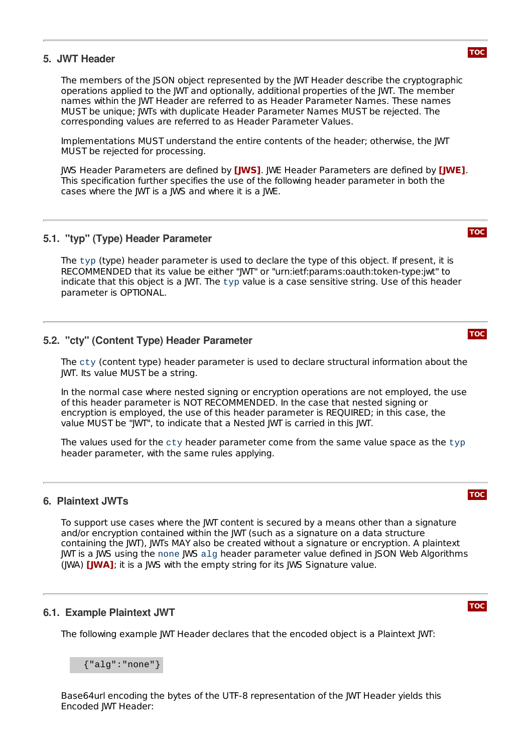### **5. JWT Header**

The members of the JSON object represented by the JWT Header describe the cryptographic operations applied to the JWT and optionally, additional properties of the JWT. The member names within the JWT Header are referred to as Header Parameter Names. These names MUST be unique; JWTs with duplicate Header Parameter Names MUST be rejected. The corresponding values are referred to as Header Parameter Values.

Implementations MUST understand the entire contents of the header; otherwise, the JWT MUST be rejected for processing.

JWS Header Parameters are defined by **[\[JWS\]](#page-11-4)**. JWE Header Parameters are defined by **[\[JWE\]](#page-11-5)**. This specification further specifies the use of the following header parameter in both the cases where the JWT is a JWS and where it is a JWE.

### <span id="page-6-0"></span>**5.1. "typ" (Type) Header Parameter**

The typ (type) header parameter is used to declare the type of this object. If present, it is RECOMMENDED that its value be either "JWT" or "urn:ietf:params:oauth:token-type:jwt" to indicate that this object is a JWT. The typ value is a case sensitive string. Use of this header parameter is OPTIONAL.

### <span id="page-6-1"></span>**5.2. "cty" (Content Type) Header Parameter**

The cty (content type) header parameter is used to declare structural information about the JWT. Its value MUST be a string.

In the normal case where nested signing or encryption operations are not employed, the use of this header parameter is NOT RECOMMENDED. In the case that nested signing or encryption is employed, the use of this header parameter is REQUIRED; in this case, the value MUST be "JWT", to indicate that a Nested JWT is carried in this JWT.

The values used for the cty header parameter come from the same value space as the typ header parameter, with the same rules applying.

### <span id="page-6-2"></span>**6. Plaintext JWTs**

To support use cases where the JWT content is secured by a means other than a signature and/or encryption contained within the JWT (such as a signature on a data structure containing the JWT), JWTs MAY also be created without a signature or encryption. A plaintext JWT is a JWS using the none JWS alg header parameter value defined in JSON Web Algorithms (JWA) **[\[JWA\]](#page-11-10)**; it is a JWS with the empty string for its JWS Signature value.

### <span id="page-6-3"></span>**6.1. Example Plaintext JWT**

The following example JWT Header declares that the encoded object is a Plaintext JWT:

{"alg":"none"}

Base64url encoding the bytes of the UTF-8 representation of the JWT Header yields this Encoded JWT Header:

### **[TOC](#page-0-0)**

**[TOC](#page-0-0)**

### **[TOC](#page-0-0)**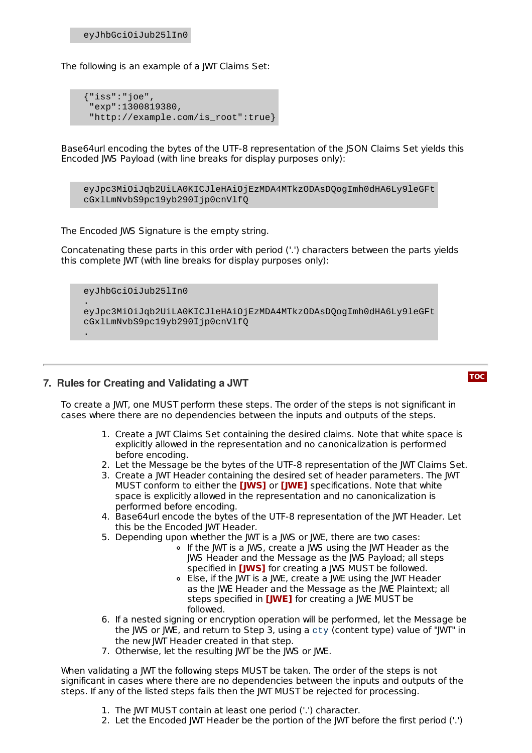eyJhbGciOiJub25lIn0

The following is an example of a JWT Claims Set:

```
{"iss":"joe",
 "exp":1300819380,
"http://example.com/is_root":true}
```
Base64url encoding the bytes of the UTF-8 representation of the JSON Claims Set yields this Encoded JWS Payload (with line breaks for display purposes only):

eyJpc3MiOiJqb2UiLA0KICJleHAiOjEzMDA4MTkzODAsDQogImh0dHA6Ly9leGFt cGxlLmNvbS9pc19yb290Ijp0cnVlfQ

The Encoded JWS Signature is the empty string.

Concatenating these parts in this order with period ('.') characters between the parts yields this complete JWT (with line breaks for display purposes only):

eyJhbGciOiJub25lIn0 . eyJpc3MiOiJqb2UiLA0KICJleHAiOjEzMDA4MTkzODAsDQogImh0dHA6Ly9leGFt cGxlLmNvbS9pc19yb290Ijp0cnVlfQ .

### <span id="page-7-0"></span>**7. Rules for Creating and Validating a JWT**

To create a JWT, one MUST perform these steps. The order of the steps is not significant in cases where there are no dependencies between the inputs and outputs of the steps.

- 1. Create a JWT Claims Set containing the desired claims. Note that white space is explicitly allowed in the representation and no canonicalization is performed before encoding.
- 2. Let the Message be the bytes of the UTF-8 representation of the JWT Claims Set.
- 3. Create a JWT Header containing the desired set of header parameters. The JWT MUST conform to either the **[\[JWS\]](#page-11-4)** or **[\[JWE\]](#page-11-5)** specifications. Note that white space is explicitly allowed in the representation and no canonicalization is performed before encoding.
- 4. Base64url encode the bytes of the UTF-8 representation of the JWT Header. Let this be the Encoded IWT Header.
- 5. Depending upon whether the JWT is a JWS or JWE, there are two cases:
	- o If the JWT is a JWS, create a JWS using the JWT Header as the JWS Header and the Message as the JWS Payload; all steps specified in **[\[JWS\]](#page-11-4)** for creating a JWS MUST be followed.
	- Else, if the JWT is a JWE, create a JWE using the JWT Header as the JWE Header and the Message as the JWE Plaintext; all steps specified in **[\[JWE\]](#page-11-5)** for creating a JWE MUST be followed.
- 6. If a nested signing or encryption operation will be performed, let the Message be the JWS or JWE, and return to Step 3, using a cty (content type) value of "JWT" in the new JWT Header created in that step.
- 7. Otherwise, let the resulting JWT be the JWS or JWE.

When validating a JWT the following steps MUST be taken. The order of the steps is not significant in cases where there are no dependencies between the inputs and outputs of the steps. If any of the listed steps fails then the JWT MUST be rejected for processing.

- 1. The JWT MUST contain at least one period ('.') character.
- 2. Let the Encoded JWT Header be the portion of the JWT before the first period ('.')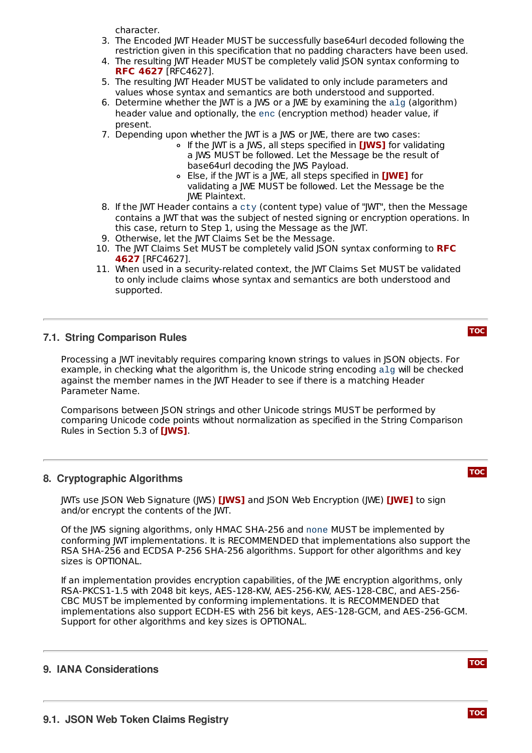character.

- 3. The Encoded JWT Header MUST be successfully base64url decoded following the restriction given in this specification that no padding characters have been used.
- 4. The resulting JWT Header MUST be completely valid JSON syntax conforming to [RFC4627]. **RFC [4627](#page-11-3)**
- 5. The resulting JWT Header MUST be validated to only include parameters and values whose syntax and semantics are both understood and supported.
- 6. Determine whether the JWT is a JWS or a JWE by examining the alg (algorithm) header value and optionally, the enc (encryption method) header value, if present.
- 7. Depending upon whether the JWT is a JWS or JWE, there are two cases:
	- If the JWT is a JWS, all steps specified in **[\[JWS\]](#page-11-4)** for validating a JWS MUST be followed. Let the Message be the result of base64url decoding the JWS Payload.
	- Else, if the JWT is a JWE, all steps specified in **[\[JWE\]](#page-11-5)** for validating a JWE MUST be followed. Let the Message be the JWE Plaintext.
- 8. If the JWT Header contains a cty (content type) value of "JWT", then the Message contains a JWT that was the subject of nested signing or encryption operations. In this case, return to Step 1, using the Message as the JWT.
- 9. Otherwise, let the JWT Claims Set be the Message.
- 10. The JWT Claims Set MUST be completely valid JSON syntax [conforming](#page-11-3) to **RFC** [RFC4627]. **4627**
- 11. When used in a security-related context, the JWT Claims Set MUST be validated to only include claims whose syntax and semantics are both understood and supported.

### <span id="page-8-0"></span>**7.1. String Comparison Rules**

Processing a JWT inevitably requires comparing known strings to values in JSON objects. For example, in checking what the algorithm is, the Unicode string encoding alg will be checked against the member names in the JWT Header to see if there is a matching Header Parameter Name.

Comparisons between JSON strings and other Unicode strings MUST be performed by comparing Unicode code points without normalization as specified in the String Comparison Rules in Section 5.3 of **[\[JWS\]](#page-11-4)**.

### <span id="page-8-1"></span>**8. Cryptographic Algorithms**

**JWTs use JSON Web Signature (JWS) <b>[\[JWS\]](#page-11-4)** and JSON Web Encryption (JWE) **[\[JWE\]](#page-11-5)** to sign and/or encrypt the contents of the JWT.

Of the JWS signing algorithms, only HMAC SHA-256 and none MUST be implemented by conforming JWT implementations. It is RECOMMENDED that implementations also support the RSA SHA-256 and ECDSA P-256 SHA-256 algorithms. Support for other algorithms and key sizes is OPTIONAL.

If an implementation provides encryption capabilities, of the JWE encryption algorithms, only RSA-PKCS1-1.5 with 2048 bit keys, AES-128-KW, AES-256-KW, AES-128-CBC, and AES-256- CBC MUST be implemented by conforming implementations. It is RECOMMENDED that implementations also support ECDH-ES with 256 bit keys, AES-128-GCM, and AES-256-GCM. Support for other algorithms and key sizes is OPTIONAL.

### <span id="page-8-3"></span><span id="page-8-2"></span>**9. IANA Considerations**

**[TOC](#page-0-0)**

**[TOC](#page-0-0)**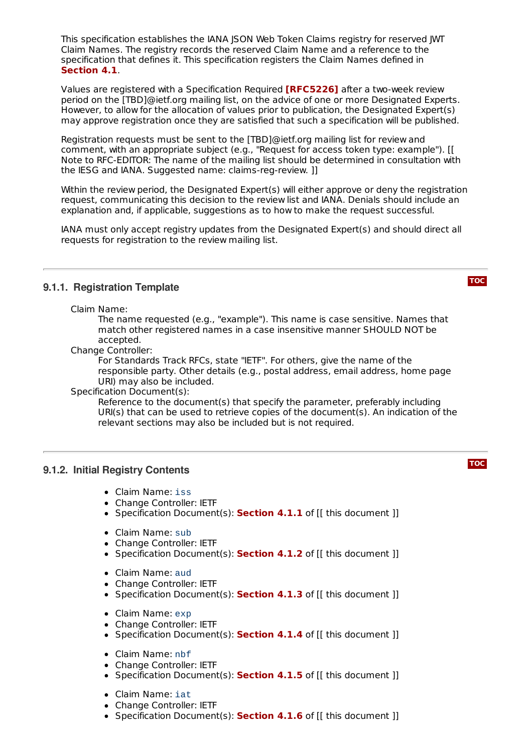This specification establishes the IANA JSON Web Token Claims registry for reserved JWT Claim Names. The registry records the reserved Claim Name and a reference to the specification that defines it. This specification registers the Claim Names defined in . **[Section](#page-4-1) 4.1**

Values are registered with a Specification Required **[\[RFC5226\]](#page-11-11)** after a two-week review period on the [TBD]@ietf.org mailing list, on the advice of one or more Designated Experts. However, to allow for the allocation of values prior to publication, the Designated Expert(s) may approve registration once they are satisfied that such a specification will be published.

Registration requests must be sent to the [TBD]@ietf.org mailing list for review and comment, with an appropriate subject (e.g., "Request for access token type: example"). [[ Note to RFC-EDITOR: The name of the mailing list should be determined in consultation with the IESG and IANA. Suggested name: claims-reg-review. ]]

Within the review period, the Designated Expert(s) will either approve or deny the registration request, communicating this decision to the review list and IANA. Denials should include an explanation and, if applicable, suggestions as to how to make the request successful.

IANA must only accept registry updates from the Designated Expert(s) and should direct all requests for registration to the review mailing list.

### <span id="page-9-0"></span>**9.1.1. Registration Template**

Claim Name:

The name requested (e.g., "example"). This name is case sensitive. Names that match other registered names in a case insensitive manner SHOULD NOT be accepted.

Change Controller:

For Standards Track RFCs, state "IETF". For others, give the name of the responsible party. Other details (e.g., postal address, email address, home page URI) may also be included.

Specification Document(s):

Reference to the document(s) that specify the parameter, preferably including URI(s) that can be used to retrieve copies of the document(s). An indication of the relevant sections may also be included but is not required.

### <span id="page-9-1"></span>**9.1.2. Initial Registry Contents**

- Claim Name: iss
- Change Controller: IETF
- Specification Document(s): **[Section](#page-4-2) 4.1.1** of [[ this document ]]
- Claim Name: sub
- Change Controller: IETF
- Specification Document(s): **[Section](#page-4-3) 4.1.2** of [[ this document ]]
- Claim Name: aud
- Change Controller: IETF
- Specification Document(s): **[Section](#page-4-4) 4.1.3** of [[ this document ]]
- Claim Name: exp
- Change Controller: IETF
- Specification Document(s): **[Section](#page-4-5) 4.1.4** of [[ this document ]]
- Claim Name: nbf
- Change Controller: IETF
- Specification Document(s): **[Section](#page-5-0) 4.1.5** of [[ this document ]]
- Claim Name: iat
- Change Controller: IETF
- Specification Document(s): **[Section](#page-5-1) 4.1.6** of [[ this document ]]

**[TOC](#page-0-0)**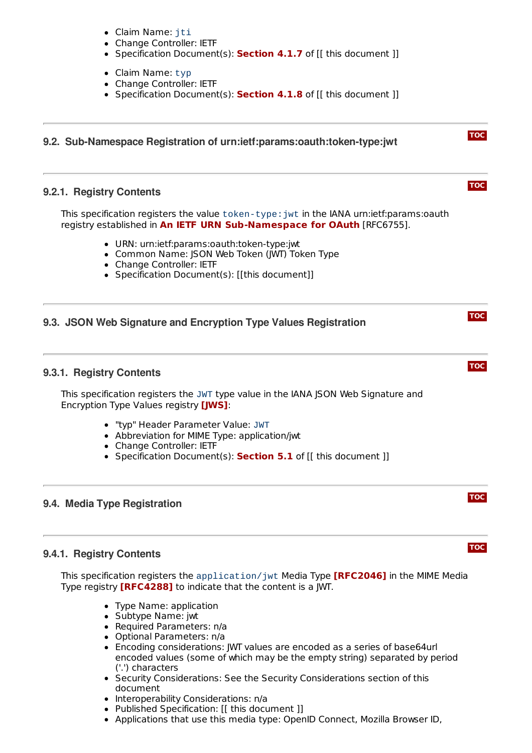- Claim Name: jti
- Change Controller: IETF
- Specification Document(s): **[Section](#page-5-2) 4.1.7** of [[ this document ]]
- Claim Name: typ
- Change Controller: IETF
- Specification Document(s): **[Section](#page-5-3) 4.1.8** of [[ this document ]]

**[TOC](#page-0-0)**

**[TOC](#page-0-0)**

**[TOC](#page-0-0)**

**[TOC](#page-0-0)**

**[TOC](#page-0-0)**

**[TOC](#page-0-0)**

### <span id="page-10-1"></span><span id="page-10-0"></span>**9.2. Sub-Namespace Registration of urn:ietf:params:oauth:token-type:jwt**

### **9.2.1. Registry Contents**

This specification registers the value token-type:jwt in the IANA urn:ietf:params:oauth **registry established in An IETF URN [Sub-Namespace](#page-11-12) for OAuth** [RFC6755].

- URN: urn:ietf:params:oauth:token-type:jwt
- Common Name: JSON Web Token (JWT) Token Type
- Change Controller: IETF
- Specification Document(s): [[this document]]

### <span id="page-10-3"></span><span id="page-10-2"></span>**9.3. JSON Web Signature and Encryption Type Values Registration**

### **9.3.1. Registry Contents**

This specification registers the JWT type value in the IANA JSON Web Signature and Encryption Type Values registry *[\[JWS\]](#page-11-4)*:

- "typ" Header Parameter Value: JWT
- Abbreviation for MIME Type: application/jwt
- Change Controller: IETF
- Specification Document(s): **[Section](#page-6-0) 5.1** of [[ this document ]]

### <span id="page-10-5"></span><span id="page-10-4"></span>**9.4. Media Type Registration**

### **9.4.1. Registry Contents**

This specification registers the application/jwt Media Type **[\[RFC2046\]](#page-11-13)** in the MIME Media Type registry **[\[RFC4288\]](#page-11-14)** to indicate that the content is a JWT.

- Type Name: application
- Subtype Name: jwt
- Required Parameters: n/a
- Optional Parameters: n/a
- Encoding considerations: JWT values are encoded as a series of base64url encoded values (some of which may be the empty string) separated by period ('.') characters
- Security Considerations: See the Security Considerations section of this document
- Interoperability Considerations: n/a
- Published Specification: [[ this document ]]
- Applications that use this media type: OpenID Connect, Mozilla Browser ID,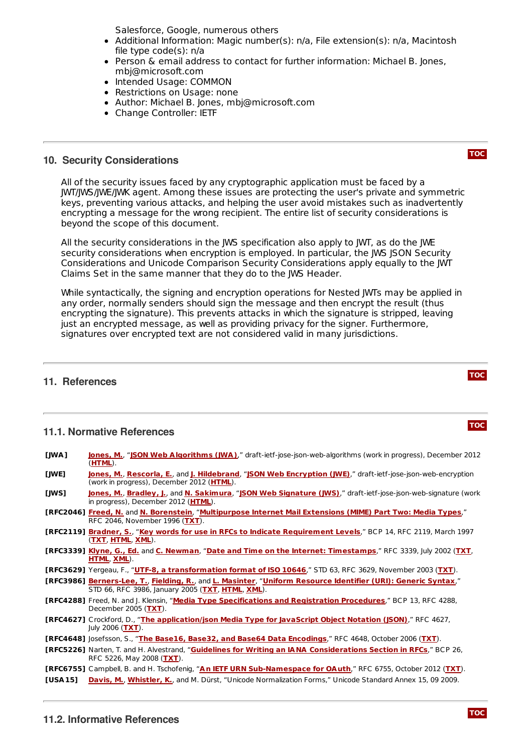Salesforce, Google, numerous others

- Additional Information: Magic number(s): n/a, File extension(s): n/a, Macintosh file type code(s): n/a
- Person & email address to contact for further information: Michael B. Jones,  $\bullet$ mbj@microsoft.com
- Intended Usage: COMMON
- Restrictions on Usage: none
- Author: Michael B. Jones, mbj@microsoft.com
- Change Controller: IETF

### <span id="page-11-0"></span>**10. Security Considerations**

All of the security issues faced by any cryptographic application must be faced by a JWT/JWS/JWE/JWK agent. Among these issues are protecting the user's private and symmetric keys, preventing various attacks, and helping the user avoid mistakes such as inadvertently encrypting a message for the wrong recipient. The entire list of security considerations is beyond the scope of this document.

All the security considerations in the JWS specification also apply to JWT, as do the JWE security considerations when encryption is employed. In particular, the JWS JSON Security Considerations and Unicode Comparison Security Considerations apply equally to the JWT Claims Set in the same manner that they do to the JWS Header.

While syntactically, the signing and encryption operations for Nested JWTs may be applied in any order, normally senders should sign the message and then encrypt the result (thus encrypting the signature). This prevents attacks in which the signature is stripped, leaving just an encrypted message, as well as providing privacy for the signer. Furthermore, signatures over encrypted text are not considered valid in many jurisdictions.

### <span id="page-11-1"></span>**11. References**

### **11.1. Normative References**

- <span id="page-11-10"></span>**[JWA] [Jones,](mailto:mbj@microsoft.com) M.**, "**JSON Web [Algorithms](http://tools.ietf.org/html/draft-ietf-jose-json-web-algorithms) (JWA)**," draft-ietf-jose-json-web-algorithms (work in progress), December 2012 (**[HTML](http://tools.ietf.org/html/draft-ietf-jose-json-web-algorithms)**).
- <span id="page-11-5"></span>**[JWE] [Jones,](mailto:mbj@microsoft.com) M.**, **[Rescorla,](mailto:ekr@rtfm.com) E.**, and **J. [Hildebrand](mailto:jhildebr@cisco.com)**, "**JSON Web [Encryption](http://tools.ietf.org/html/draft-ietf-jose-json-web-encryption) (JWE)**," draft-ietf-jose-json-web-encryption (work in progress), December 2012 (**[HTML](http://tools.ietf.org/html/draft-ietf-jose-json-web-encryption)**).
- <span id="page-11-4"></span>**[JWS] [Jones,](mailto:mbj@microsoft.com) M.**, **[Bradley,](mailto:ve7jtb@ve7jtb.com) J.**, and **N. [Sakimura](mailto:n-sakimura@nri.co.jp)**, "**JSON Web [Signature](http://tools.ietf.org/html/draft-ietf-jose-json-web-signature) (JWS)**," draft-ietf-jose-json-web-signature (work in progress), December 2012 (**[HTML](http://tools.ietf.org/html/draft-ietf-jose-json-web-signature)**).
- <span id="page-11-13"></span>**[RFC2046] [Freed,](mailto:ned@innosoft.com) N.** and **N. [Borenstein](mailto:nsb@nsb.fv.com)**, "**[Multipurpose](http://tools.ietf.org/html/rfc2046) Internet Mail Extensions (MIME) Part Two: Media Types**," RFC 2046, November 1996 (**[TXT](http://www.rfc-editor.org/rfc/rfc2046.txt)**).
- <span id="page-11-6"></span>**[RFC2119] [Bradner,](mailto:sob@harvard.edu) S.**, "**Key words for use in RFCs to Indicate [Requirement](http://tools.ietf.org/html/rfc2119) Levels**," BCP 14, RFC 2119, March 1997 (**[TXT](http://www.rfc-editor.org/rfc/rfc2119.txt)**, **[HTML](http://xml.resource.org/public/rfc/html/rfc2119.html)**, **[XML](http://xml.resource.org/public/rfc/xml/rfc2119.xml)**).
- <span id="page-11-9"></span>**[RFC3339] [Klyne,](mailto:GK@ACM.ORG) G., Ed.** and **C. [Newman](mailto:chris.newman@sun.com)**, "**Date and Time on the Internet: [Timestamps](http://tools.ietf.org/html/rfc3339)**," RFC 3339, July 2002 (**[TXT](http://www.rfc-editor.org/rfc/rfc3339.txt)**, **[HTML](http://xml.resource.org/public/rfc/html/rfc3339.html)**, **[XML](http://xml.resource.org/public/rfc/xml/rfc3339.xml)**).
- **[RFC3629]** Yergeau, F., "**UTF-8, a [transformation](http://tools.ietf.org/html/rfc3629) format of ISO 10646**," STD 63, RFC 3629, November 2003 (**[TXT](http://www.rfc-editor.org/rfc/rfc3629.txt)**).
- <span id="page-11-8"></span>**[RFC3986] [Berners-Lee,](mailto:timbl@w3.org) T.**, **[Fielding,](mailto:fielding@gbiv.com) R.**, and **L. [Masinter](mailto:LMM@acm.org)**, "**Uniform [Resource](http://tools.ietf.org/html/rfc3986) Identifier (URI): Generic Syntax**," STD 66, RFC 3986, January 2005 (**[TXT](http://www.rfc-editor.org/rfc/rfc3986.txt)**, **[HTML](http://xml.resource.org/public/rfc/html/rfc3986.html)**, **[XML](http://xml.resource.org/public/rfc/xml/rfc3986.xml)**).
- <span id="page-11-14"></span>**[RFC4288]** Freed, N. and J. Klensin, "**Media Type [Specifications](http://tools.ietf.org/html/rfc4288) and Registration Procedures**," BCP 13, RFC 4288, December 2005 (**[TXT](http://www.rfc-editor.org/rfc/rfc4288.txt)**).
- <span id="page-11-3"></span>**[RFC4627]** Crockford, D., "**The [application/json](http://tools.ietf.org/html/rfc4627) Media Type for JavaScript Object Notation (JSON)**," RFC 4627, July 2006 (**[TXT](http://www.rfc-editor.org/rfc/rfc4627.txt)**).
- <span id="page-11-7"></span>**[RFC4648]** Josefsson, S., "**The Base16, Base32, and Base64 Data [Encodings](http://tools.ietf.org/html/rfc4648)**," RFC 4648, October 2006 (**[TXT](http://www.rfc-editor.org/rfc/rfc4648.txt)**).
- <span id="page-11-11"></span>**[RFC5226]** Narten, T. and H. Alvestrand, "**Guidelines for Writing an IANA [Considerations](http://tools.ietf.org/html/rfc5226) Section in RFCs**," BCP 26, RFC 5226, May 2008 (**[TXT](http://www.rfc-editor.org/rfc/rfc5226.txt)**).
- <span id="page-11-12"></span>**[RFC6755]** Campbell, B. and H. Tschofenig, "**An IETF URN [Sub-Namespace](http://tools.ietf.org/html/rfc6755) for OAuth**," RFC 6755, October 2012 (**[TXT](http://www.rfc-editor.org/rfc/rfc6755.txt)**).

<span id="page-11-2"></span>**[USA15] [Davis,](mailto:markdavis@google.com) M.**, **[Whistler,](mailto:ken@unicode.org) K.**, and M. Dürst, "Unicode Normalization Forms," Unicode Standard Annex 15, 09 2009.



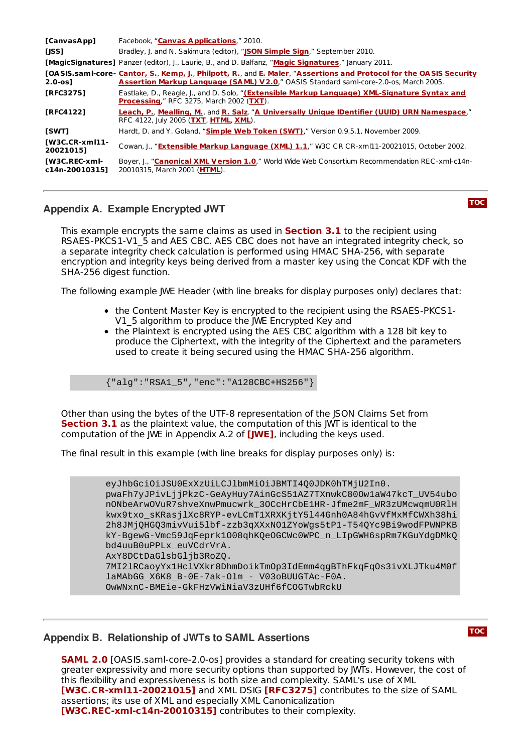<span id="page-12-10"></span><span id="page-12-9"></span><span id="page-12-8"></span><span id="page-12-5"></span><span id="page-12-3"></span><span id="page-12-2"></span>

| [CanvasApp]                     | Facebook, "Canvas Applications," 2010.                                                                                                                                                                      |
|---------------------------------|-------------------------------------------------------------------------------------------------------------------------------------------------------------------------------------------------------------|
| [JSS]                           | Bradley, J. and N. Sakimura (editor), "JSON Simple Sign," September 2010.                                                                                                                                   |
|                                 | <b>[MagicSignatures]</b> Panzer (editor), J., Laurie, B., and D. Balfanz, "Magic Signatures," January 2011.                                                                                                 |
| $2.0 - os1$                     | [OASIS.samI-core- Cantor, S., Kemp, J., Philpott, R., and E. Maler, "Assertions and Protocol for the OASIS Security<br>Assertion Markup Language (SAML) V2.0," OASIS Standard saml-core-2.0-os, March 2005. |
| [RFC3275]                       | Eastlake, D., Reagle, J., and D. Solo, "(Extensible Markup Language) XML-Signature Syntax and<br><b>Processing," RFC 3275, March 2002 (TXT).</b>                                                            |
| <b>TRFC41221</b>                | Leach, P., Mealling, M., and R. Salz, "A Universally Unique IDentifier (UUID) URN Namespace,"<br>RFC 4122, July 2005 (TXT, HTML, XML).                                                                      |
| [SWT]                           | Hardt, D. and Y. Goland, "Simple Web Token (SWT)," Version 0.9.5.1, November 2009.                                                                                                                          |
| $IW3C.CR-xm111-$<br>200210151   | Cowan, J., "Extensible Markup Language (XML) 1.1," W3C CR CR-xml11-20021015, October 2002.                                                                                                                  |
| [W3C.REC-xml-<br>c14n-200103151 | Boyer, J., "Canonical XML Version 1.0," World Wide Web Consortium Recommendation REC-xml-c14n-<br>20010315. March 2001 (HTML).                                                                              |

### <span id="page-12-7"></span><span id="page-12-6"></span><span id="page-12-4"></span><span id="page-12-0"></span>**Appendix A. Example Encrypted JWT**

**[TOC](#page-0-0)**

This example encrypts the same claims as used in **[Section](#page-3-0) 3.1** to the recipient using RSAES-PKCS1-V1\_5 and AES CBC. AES CBC does not have an integrated integrity check, so a separate integrity check calculation is performed using HMAC SHA-256, with separate encryption and integrity keys being derived from a master key using the Concat KDF with the SHA-256 digest function.

The following example JWE Header (with line breaks for display purposes only) declares that:

- the Content Master Key is encrypted to the recipient using the RSAES-PKCS1-V1\_5 algorithm to produce the IWE Encrypted Key and
- the Plaintext is encrypted using the AES CBC algorithm with a 128 bit key to produce the Ciphertext, with the integrity of the Ciphertext and the parameters used to create it being secured using the HMAC SHA-256 algorithm.

{"alg":"RSA1\_5","enc":"A128CBC+HS256"}

Other than using the bytes of the UTF-8 representation of the JSON Claims Set from **[Section](#page-3-0) 3.1** as the plaintext value, the computation of this JWT is identical to the computation of the JWE in Appendix A.2 of **[\[JWE\]](#page-11-5)**, including the keys used.

The final result in this example (with line breaks for display purposes only) is:

eyJhbGciOiJSU0ExXzUiLCJlbmMiOiJBMTI4Q0JDK0hTMjU2In0. pwaFh7yJPivLjjPkzC-GeAyHuy7AinGcS51AZ7TXnwkC80Ow1aW47kcT\_UV54ubo nONbeArwOVuR7shveXnwPmucwrk\_3OCcHrCbE1HR-Jfme2mF\_WR3zUMcwqmU0RlH kwx9txo\_sKRasjlXc8RYP-evLCmT1XRXKjtY5l44Gnh0A84hGvVfMxMfCWXh38hi 2h8JMjQHGQ3mivVui5lbf-zzb3qXXxNO1ZYoWgs5tP1-T54QYc9Bi9wodFPWNPKB kY-BgewG-Vmc59JqFeprk1O08qhKQeOGCWc0WPC\_n\_LIpGWH6spRm7KGuYdgDMkQ bd4uuB0uPPLx\_euVCdrVrA. AxY8DCtDaGlsbGljb3RoZQ. 7MI2lRCaoyYx1HclVXkr8DhmDoikTmOp3IdEmm4qgBThFkqFqOs3ivXLJTku4M0f laMAbGG\_X6K8\_B-0E-7ak-Olm\_-\_V03oBUUGTAc-F0A. OwWNxnC-BMEie-GkFHzVWiNiaV3zUHf6fCOGTwbRckU

### <span id="page-12-1"></span>**Appendix B. Relationship of JWTs to SAML Assertions**

**[TOC](#page-0-0)**

**[SAML](#page-12-3) 2.0** [OASIS.samI-core-2.0-os] provides a standard for creating security tokens with greater expressivity and more security options than supported by JWTs. However, the cost of this flexibility and expressiveness is both size and complexity. SAML's use of XML **[W3C.CR-xml11-[20021015\]](#page-12-4)** and XML DSIG [\[RFC3275\]](#page-12-5) contributes to the size of SAML assertions; its use of XML and especially XML Canonicalization **[W3C.REC-xml-c14n-[20010315\]](#page-12-6)** contributes to their complexity.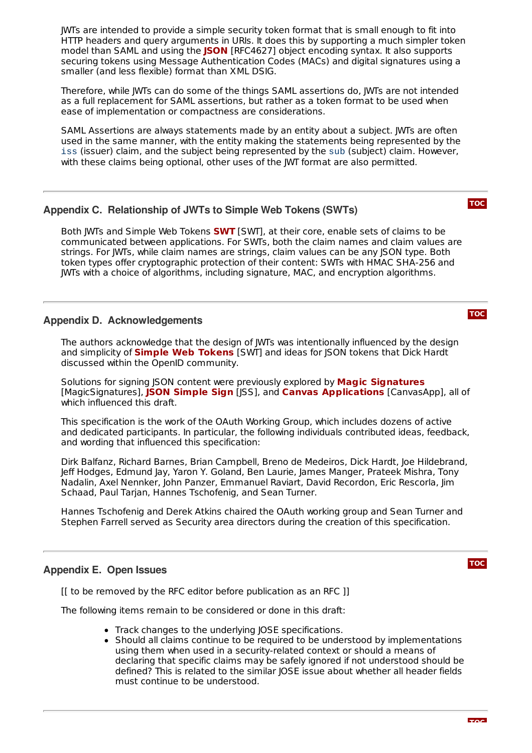JWTs are intended to provide a simple security token format that is small enough to fit into HTTP headers and query arguments in URIs. It does this by supporting a much simpler token model than SAML and using the **[JSON](#page-11-3)** [RFC4627] object encoding syntax. It also supports securing tokens using Message Authentication Codes (MACs) and digital signatures using a smaller (and less flexible) format than XML DSIG.

Therefore, while JWTs can do some of the things SAML assertions do, JWTs are not intended as a full replacement for SAML assertions, but rather as a token format to be used when ease of implementation or compactness are considerations.

SAML Assertions are always statements made by an entity about a subject. JWTs are often used in the same manner, with the entity making the statements being represented by the iss (issuer) claim, and the subject being represented by the sub (subject) claim. However, with these claims being optional, other uses of the JWT format are also permitted.

### <span id="page-13-0"></span>**Appendix C. Relationship of JWTs to Simple Web Tokens (SWTs)**

Both JWTs and Simple Web Tokens **[SWT](#page-12-7)** [SWT], at their core, enable sets of claims to be communicated between applications. For SWTs, both the claim names and claim values are strings. For JWTs, while claim names are strings, claim values can be any JSON type. Both token types offer cryptographic protection of their content: SWTs with HMAC SHA-256 and JWTs with a choice of algorithms, including signature, MAC, and encryption algorithms.

### <span id="page-13-1"></span>**Appendix D. Acknowledgements**

The authors acknowledge that the design of JWTs was intentionally influenced by the design and simplicity of **Simple Web [Tokens](#page-12-7)** [SWT] and ideas for JSON tokens that Dick Hardt discussed within the OpenID community.

Solutions for signing JSON content were previously explored by **Magic [Signatures](#page-12-8)** [MagicSignatures], **JSON [Simple](#page-12-9) Sign** [JSS], and **Canvas [Applications](#page-12-10)** [CanvasApp], all of which influenced this draft.

This specification is the work of the OAuth Working Group, which includes dozens of active and dedicated participants. In particular, the following individuals contributed ideas, feedback, and wording that influenced this specification:

Dirk Balfanz, Richard Barnes, Brian Campbell, Breno de Medeiros, Dick Hardt, Joe Hildebrand, Jeff Hodges, Edmund Jay, Yaron Y. Goland, Ben Laurie, James Manger, Prateek Mishra, Tony Nadalin, Axel Nennker, John Panzer, Emmanuel Raviart, David Recordon, Eric Rescorla, Jim Schaad, Paul Tarjan, Hannes Tschofenig, and Sean Turner.

Hannes Tschofenig and Derek Atkins chaired the OAuth working group and Sean Turner and Stephen Farrell served as Security area directors during the creation of this specification.

### <span id="page-13-2"></span>**Appendix E. Open Issues**

[[ to be removed by the RFC editor before publication as an RFC ]]

The following items remain to be considered or done in this draft:

- Track changes to the underlying IOSE specifications.
- <span id="page-13-3"></span>• Should all claims continue to be required to be understood by implementations using them when used in a security-related context or should a means of declaring that specific claims may be safely ignored if not understood should be defined? This is related to the similar JOSE issue about whether all header fields must continue to be understood.

**[TOC](#page-0-0)**

### **[TOC](#page-0-0)**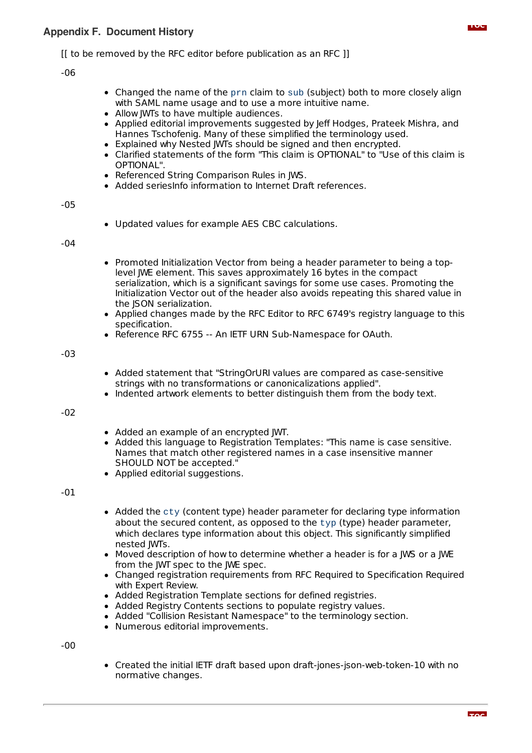

[[ to be removed by the RFC editor before publication as an RFC ]]

-06

- Changed the name of the prn claim to sub (subject) both to more closely align with SAML name usage and to use a more intuitive name.
- Allow JWTs to have multiple audiences.
- Applied editorial improvements suggested by leff Hodges, Prateek Mishra, and Hannes Tschofenig. Many of these simplified the terminology used.
- Explained why Nested JWTs should be signed and then encrypted.
- Clarified statements of the form "This claim is OPTIONAL" to "Use of this claim is OPTIONAL".
- Referenced String Comparison Rules in JWS.
- Added seriesInfo information to Internet Draft references.

### -05

Updated values for example AES CBC calculations.

### -04

- Promoted Initialization Vector from being a header parameter to being a toplevel JWE element. This saves approximately 16 bytes in the compact serialization, which is a significant savings for some use cases. Promoting the Initialization Vector out of the header also avoids repeating this shared value in the JSON serialization.
- Applied changes made by the RFC Editor to RFC 6749's registry language to this specification.
- Reference RFC 6755 -- An IETF URN Sub-Namespace for OAuth.

### -03

- Added statement that "StringOrURI values are compared as case-sensitive strings with no transformations or canonicalizations applied".
- Indented artwork elements to better distinguish them from the body text.

### -02

- Added an example of an encrypted IWT.
- Added this language to Registration Templates: "This name is case sensitive. Names that match other registered names in a case insensitive manner SHOULD NOT be accepted."
- Applied editorial suggestions.

-01

- Added the cty (content type) header parameter for declaring type information about the secured content, as opposed to the typ (type) header parameter, which declares type information about this object. This significantly simplified nested JWTs.
- Moved description of how to determine whether a header is for a JWS or a JWE from the IWT spec to the IWE spec.
- Changed registration requirements from RFC Required to Specification Required with Expert Review.
- Added Registration Template sections for defined registries.
- Added Registry Contents sections to populate registry values.
- Added "Collision Resistant Namespace" to the terminology section.
- Numerous editorial improvements.

<span id="page-14-0"></span>-00

Created the initial IETF draft based upon draft-jones-json-web-token-10 with no normative changes.